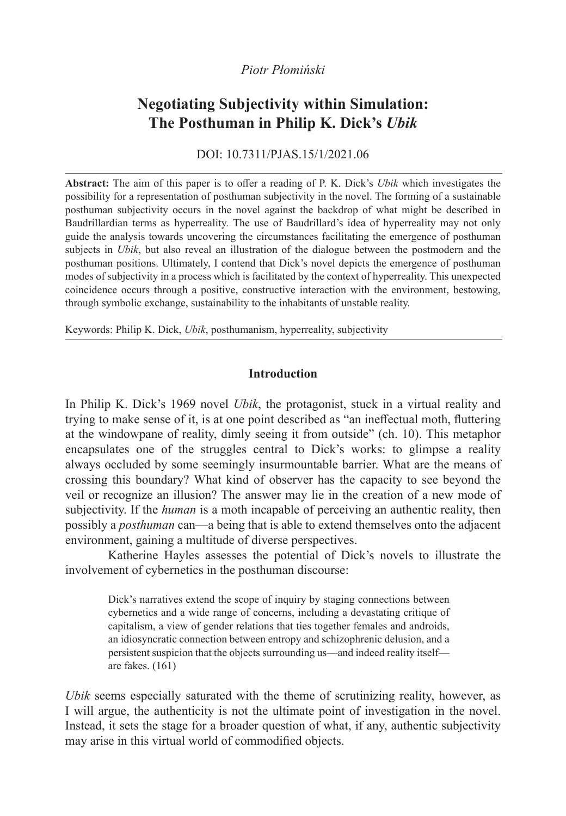# *Piotr Płomiński*

# **Negotiating Subjectivity within Simulation: The Posthuman in Philip K. Dick's** *Ubik*

DOI: 10.7311/PJAS.15/1/2021.06

**Abstract:** The aim of this paper is to offer a reading of P. K. Dick's *Ubik* which investigates the possibility for a representation of posthuman subjectivity in the novel. The forming of a sustainable posthuman subjectivity occurs in the novel against the backdrop of what might be described in Baudrillardian terms as hyperreality. The use of Baudrillard's idea of hyperreality may not only guide the analysis towards uncovering the circumstances facilitating the emergence of posthuman subjects in *Ubik*, but also reveal an illustration of the dialogue between the postmodern and the posthuman positions. Ultimately, I contend that Dick's novel depicts the emergence of posthuman modes of subjectivity in a process which is facilitated by the context of hyperreality. This unexpected coincidence occurs through a positive, constructive interaction with the environment, bestowing, through symbolic exchange, sustainability to the inhabitants of unstable reality.

Keywords: Philip K. Dick, *Ubik*, posthumanism, hyperreality, subjectivity

# **Introduction**

In Philip K. Dick's 1969 novel *Ubik*, the protagonist, stuck in a virtual reality and trying to make sense of it, is at one point described as "an ineffectual moth, fluttering at the windowpane of reality, dimly seeing it from outside" (ch. 10). This metaphor encapsulates one of the struggles central to Dick's works: to glimpse a reality always occluded by some seemingly insurmountable barrier. What are the means of crossing this boundary? What kind of observer has the capacity to see beyond the veil or recognize an illusion? The answer may lie in the creation of a new mode of subjectivity. If the *human* is a moth incapable of perceiving an authentic reality, then possibly a *posthuman* can—a being that is able to extend themselves onto the adjacent environment, gaining a multitude of diverse perspectives.

Katherine Hayles assesses the potential of Dick's novels to illustrate the involvement of cybernetics in the posthuman discourse:

Dick's narratives extend the scope of inquiry by staging connections between cybernetics and a wide range of concerns, including a devastating critique of capitalism, a view of gender relations that ties together females and androids, an idiosyncratic connection between entropy and schizophrenic delusion, and a persistent suspicion that the objects surrounding us—and indeed reality itself are fakes. (161)

*Ubik* seems especially saturated with the theme of scrutinizing reality, however, as I will argue, the authenticity is not the ultimate point of investigation in the novel. Instead, it sets the stage for a broader question of what, if any, authentic subjectivity may arise in this virtual world of commodified objects.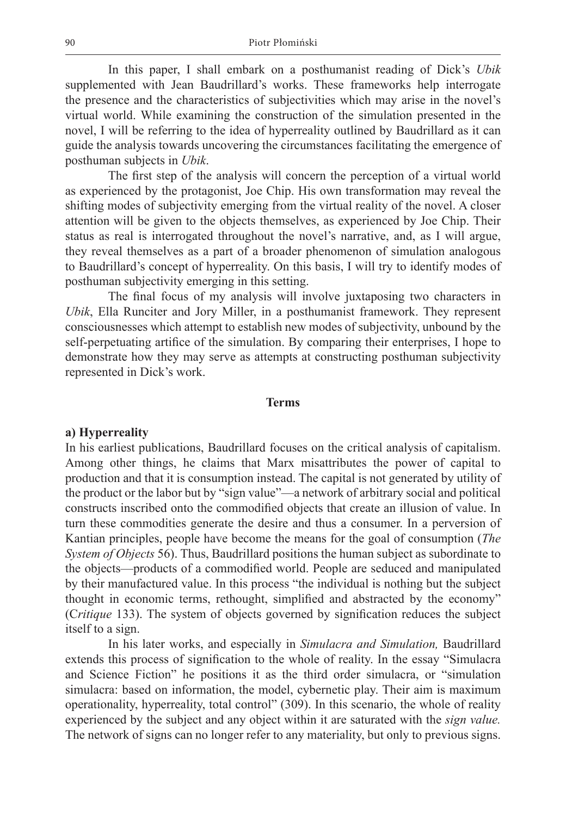In this paper, I shall embark on a posthumanist reading of Dick's *Ubik* supplemented with Jean Baudrillard's works. These frameworks help interrogate the presence and the characteristics of subjectivities which may arise in the novel's virtual world. While examining the construction of the simulation presented in the novel, I will be referring to the idea of hyperreality outlined by Baudrillard as it can guide the analysis towards uncovering the circumstances facilitating the emergence of posthuman subjects in *Ubik*.

The first step of the analysis will concern the perception of a virtual world as experienced by the protagonist, Joe Chip. His own transformation may reveal the shifting modes of subjectivity emerging from the virtual reality of the novel. A closer attention will be given to the objects themselves, as experienced by Joe Chip. Their status as real is interrogated throughout the novel's narrative, and, as I will argue, they reveal themselves as a part of a broader phenomenon of simulation analogous to Baudrillard's concept of hyperreality. On this basis, I will try to identify modes of posthuman subjectivity emerging in this setting.

The final focus of my analysis will involve juxtaposing two characters in *Ubik*, Ella Runciter and Jory Miller, in a posthumanist framework. They represent consciousnesses which attempt to establish new modes of subjectivity, unbound by the self-perpetuating artifice of the simulation. By comparing their enterprises, I hope to demonstrate how they may serve as attempts at constructing posthuman subjectivity represented in Dick's work.

#### **Terms**

#### **a) Hyperreality**

In his earliest publications, Baudrillard focuses on the critical analysis of capitalism. Among other things, he claims that Marx misattributes the power of capital to production and that it is consumption instead. The capital is not generated by utility of the product or the labor but by "sign value"—a network of arbitrary social and political constructs inscribed onto the commodified objects that create an illusion of value. In turn these commodities generate the desire and thus a consumer. In a perversion of Kantian principles, people have become the means for the goal of consumption (*The System of Objects* 56). Thus, Baudrillard positions the human subject as subordinate to the objects—products of a commodified world. People are seduced and manipulated by their manufactured value. In this process "the individual is nothing but the subject thought in economic terms, rethought, simplified and abstracted by the economy" (C*ritique* 133). The system of objects governed by signification reduces the subject itself to a sign.

In his later works, and especially in *Simulacra and Simulation,* Baudrillard extends this process of signification to the whole of reality. In the essay "Simulacra and Science Fiction" he positions it as the third order simulacra, or "simulation simulacra: based on information, the model, cybernetic play. Their aim is maximum operationality, hyperreality, total control" (309). In this scenario, the whole of reality experienced by the subject and any object within it are saturated with the *sign value.*  The network of signs can no longer refer to any materiality, but only to previous signs.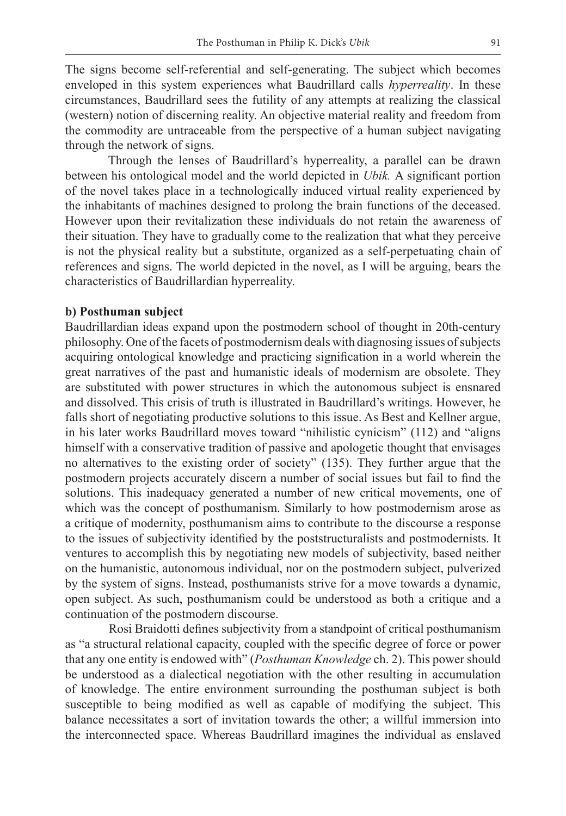The signs become self-referential and self-generating. The subject which becomes enveloped in this system experiences what Baudrillard calls *hyperreality*. In these circumstances, Baudrillard sees the futility of any attempts at realizing the classical (western) notion of discerning reality. An objective material reality and freedom from the commodity are untraceable from the perspective of a human subject navigating through the network of signs.

Through the lenses of Baudrillard's hyperreality, a parallel can be drawn between his ontological model and the world depicted in *Ubik.* A significant portion of the novel takes place in a technologically induced virtual reality experienced by the inhabitants of machines designed to prolong the brain functions of the deceased. However upon their revitalization these individuals do not retain the awareness of their situation. They have to gradually come to the realization that what they perceive is not the physical reality but a substitute, organized as a self-perpetuating chain of references and signs. The world depicted in the novel, as I will be arguing, bears the characteristics of Baudrillardian hyperreality.

## **b) Posthuman subject**

Baudrillardian ideas expand upon the postmodern school of thought in 20th-century philosophy. One of the facets of postmodernism deals with diagnosing issues of subjects acquiring ontological knowledge and practicing signification in a world wherein the great narratives of the past and humanistic ideals of modernism are obsolete. They are substituted with power structures in which the autonomous subject is ensnared and dissolved. This crisis of truth is illustrated in Baudrillard's writings. However, he falls short of negotiating productive solutions to this issue. As Best and Kellner argue, in his later works Baudrillard moves toward "nihilistic cynicism" (112) and "aligns himself with a conservative tradition of passive and apologetic thought that envisages no alternatives to the existing order of society" (135). They further argue that the postmodern projects accurately discern a number of social issues but fail to find the solutions. This inadequacy generated a number of new critical movements, one of which was the concept of posthumanism. Similarly to how postmodernism arose as a critique of modernity, posthumanism aims to contribute to the discourse a response to the issues of subjectivity identified by the poststructuralists and postmodernists. It ventures to accomplish this by negotiating new models of subjectivity, based neither on the humanistic, autonomous individual, nor on the postmodern subject, pulverized by the system of signs. Instead, posthumanists strive for a move towards a dynamic, open subject. As such, posthumanism could be understood as both a critique and a continuation of the postmodern discourse.

Rosi Braidotti defines subjectivity from a standpoint of critical posthumanism as "a structural relational capacity, coupled with the specific degree of force or power that any one entity is endowed with" (*Posthuman Knowledge* ch. 2). This power should be understood as a dialectical negotiation with the other resulting in accumulation of knowledge. The entire environment surrounding the posthuman subject is both susceptible to being modified as well as capable of modifying the subject. This balance necessitates a sort of invitation towards the other; a willful immersion into the interconnected space. Whereas Baudrillard imagines the individual as enslaved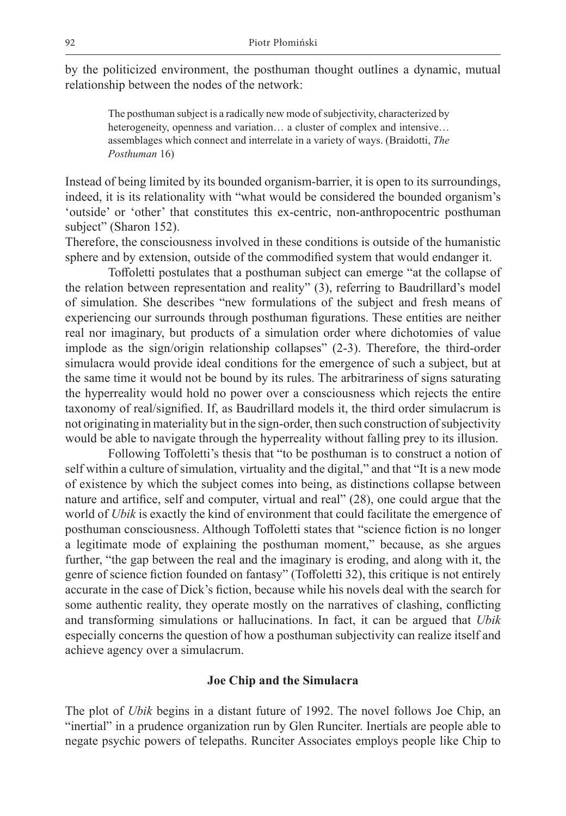by the politicized environment, the posthuman thought outlines a dynamic, mutual relationship between the nodes of the network:

The posthuman subject is a radically new mode of subjectivity, characterized by heterogeneity, openness and variation… a cluster of complex and intensive… assemblages which connect and interrelate in a variety of ways. (Braidotti, *The Posthuman* 16)

Instead of being limited by its bounded organism-barrier, it is open to its surroundings, indeed, it is its relationality with "what would be considered the bounded organism's 'outside' or 'other' that constitutes this ex-centric, non-anthropocentric posthuman subject" (Sharon 152).

Therefore, the consciousness involved in these conditions is outside of the humanistic sphere and by extension, outside of the commodified system that would endanger it.

Toffoletti postulates that a posthuman subject can emerge "at the collapse of the relation between representation and reality" (3), referring to Baudrillard's model of simulation. She describes "new formulations of the subject and fresh means of experiencing our surrounds through posthuman figurations. These entities are neither real nor imaginary, but products of a simulation order where dichotomies of value implode as the sign/origin relationship collapses" (2-3). Therefore, the third-order simulacra would provide ideal conditions for the emergence of such a subject, but at the same time it would not be bound by its rules. The arbitrariness of signs saturating the hyperreality would hold no power over a consciousness which rejects the entire taxonomy of real/signified. If, as Baudrillard models it, the third order simulacrum is not originating in materiality but in the sign-order, then such construction of subjectivity would be able to navigate through the hyperreality without falling prey to its illusion.

Following Toffoletti's thesis that "to be posthuman is to construct a notion of self within a culture of simulation, virtuality and the digital," and that "It is a new mode of existence by which the subject comes into being, as distinctions collapse between nature and artifice, self and computer, virtual and real" (28), one could argue that the world of *Ubik* is exactly the kind of environment that could facilitate the emergence of posthuman consciousness. Although Toffoletti states that "science fiction is no longer a legitimate mode of explaining the posthuman moment," because, as she argues further, "the gap between the real and the imaginary is eroding, and along with it, the genre of science fiction founded on fantasy" (Toffoletti 32), this critique is not entirely accurate in the case of Dick's fiction, because while his novels deal with the search for some authentic reality, they operate mostly on the narratives of clashing, conflicting and transforming simulations or hallucinations. In fact, it can be argued that *Ubik* especially concerns the question of how a posthuman subjectivity can realize itself and achieve agency over a simulacrum.

#### **Joe Chip and the Simulacra**

The plot of *Ubik* begins in a distant future of 1992. The novel follows Joe Chip, an "inertial" in a prudence organization run by Glen Runciter. Inertials are people able to negate psychic powers of telepaths. Runciter Associates employs people like Chip to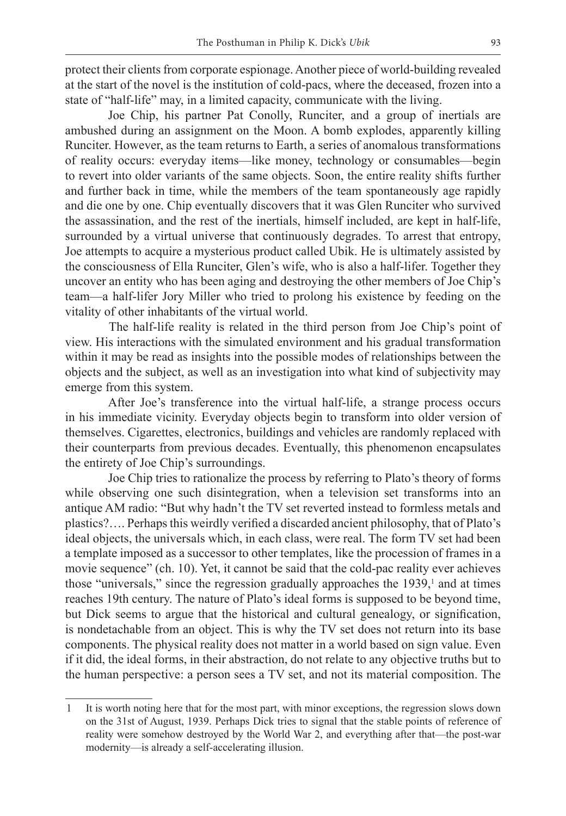protect their clients from corporate espionage. Another piece of world-building revealed at the start of the novel is the institution of cold-pacs, where the deceased, frozen into a state of "half-life" may, in a limited capacity, communicate with the living.

Joe Chip, his partner Pat Conolly, Runciter, and a group of inertials are ambushed during an assignment on the Moon. A bomb explodes, apparently killing Runciter. However, as the team returns to Earth, a series of anomalous transformations of reality occurs: everyday items—like money, technology or consumables—begin to revert into older variants of the same objects. Soon, the entire reality shifts further and further back in time, while the members of the team spontaneously age rapidly and die one by one. Chip eventually discovers that it was Glen Runciter who survived the assassination, and the rest of the inertials, himself included, are kept in half-life, surrounded by a virtual universe that continuously degrades. To arrest that entropy, Joe attempts to acquire a mysterious product called Ubik. He is ultimately assisted by the consciousness of Ella Runciter, Glen's wife, who is also a half-lifer. Together they uncover an entity who has been aging and destroying the other members of Joe Chip's team—a half-lifer Jory Miller who tried to prolong his existence by feeding on the vitality of other inhabitants of the virtual world.

The half-life reality is related in the third person from Joe Chip's point of view. His interactions with the simulated environment and his gradual transformation within it may be read as insights into the possible modes of relationships between the objects and the subject, as well as an investigation into what kind of subjectivity may emerge from this system.

After Joe's transference into the virtual half-life, a strange process occurs in his immediate vicinity. Everyday objects begin to transform into older version of themselves. Cigarettes, electronics, buildings and vehicles are randomly replaced with their counterparts from previous decades. Eventually, this phenomenon encapsulates the entirety of Joe Chip's surroundings.

Joe Chip tries to rationalize the process by referring to Plato's theory of forms while observing one such disintegration, when a television set transforms into an antique AM radio: "But why hadn't the TV set reverted instead to formless metals and plastics?…. Perhaps this weirdly verified a discarded ancient philosophy, that of Plato's ideal objects, the universals which, in each class, were real. The form TV set had been a template imposed as a successor to other templates, like the procession of frames in a movie sequence" (ch. 10). Yet, it cannot be said that the cold-pac reality ever achieves those "universals," since the regression gradually approaches the 1939,<sup>1</sup> and at times reaches 19th century. The nature of Plato's ideal forms is supposed to be beyond time, but Dick seems to argue that the historical and cultural genealogy, or signification, is nondetachable from an object. This is why the TV set does not return into its base components. The physical reality does not matter in a world based on sign value. Even if it did, the ideal forms, in their abstraction, do not relate to any objective truths but to the human perspective: a person sees a TV set, and not its material composition. The

<sup>1</sup> It is worth noting here that for the most part, with minor exceptions, the regression slows down on the 31st of August, 1939. Perhaps Dick tries to signal that the stable points of reference of reality were somehow destroyed by the World War 2, and everything after that—the post-war modernity—is already a self-accelerating illusion.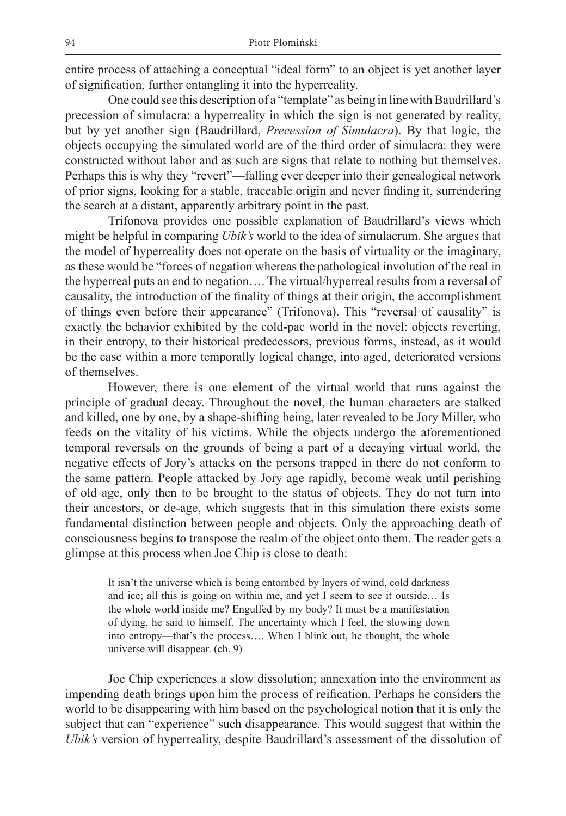entire process of attaching a conceptual "ideal form" to an object is yet another layer of signification, further entangling it into the hyperreality.

One could see this description of a "template" as being in line with Baudrillard's precession of simulacra: a hyperreality in which the sign is not generated by reality, but by yet another sign (Baudrillard, *Precession of Simulacra*). By that logic, the objects occupying the simulated world are of the third order of simulacra: they were constructed without labor and as such are signs that relate to nothing but themselves. Perhaps this is why they "revert"—falling ever deeper into their genealogical network of prior signs, looking for a stable, traceable origin and never finding it, surrendering the search at a distant, apparently arbitrary point in the past.

Trifonova provides one possible explanation of Baudrillard's views which might be helpful in comparing *Ubik's* world to the idea of simulacrum. She argues that the model of hyperreality does not operate on the basis of virtuality or the imaginary, as these would be "forces of negation whereas the pathological involution of the real in the hyperreal puts an end to negation…. The virtual/hyperreal results from a reversal of causality, the introduction of the finality of things at their origin, the accomplishment of things even before their appearance" (Trifonova). This "reversal of causality" is exactly the behavior exhibited by the cold-pac world in the novel: objects reverting, in their entropy, to their historical predecessors, previous forms, instead, as it would be the case within a more temporally logical change, into aged, deteriorated versions of themselves.

However, there is one element of the virtual world that runs against the principle of gradual decay. Throughout the novel, the human characters are stalked and killed, one by one, by a shape-shifting being, later revealed to be Jory Miller, who feeds on the vitality of his victims. While the objects undergo the aforementioned temporal reversals on the grounds of being a part of a decaying virtual world, the negative effects of Jory's attacks on the persons trapped in there do not conform to the same pattern. People attacked by Jory age rapidly, become weak until perishing of old age, only then to be brought to the status of objects. They do not turn into their ancestors, or de-age, which suggests that in this simulation there exists some fundamental distinction between people and objects. Only the approaching death of consciousness begins to transpose the realm of the object onto them. The reader gets a glimpse at this process when Joe Chip is close to death:

It isn't the universe which is being entombed by layers of wind, cold darkness and ice; all this is going on within me, and yet I seem to see it outside… Is the whole world inside me? Engulfed by my body? It must be a manifestation of dying, he said to himself. The uncertainty which I feel, the slowing down into entropy—that's the process…. When I blink out, he thought, the whole universe will disappear. (ch. 9)

Joe Chip experiences a slow dissolution; annexation into the environment as impending death brings upon him the process of reification. Perhaps he considers the world to be disappearing with him based on the psychological notion that it is only the subject that can "experience" such disappearance. This would suggest that within the *Ubik's* version of hyperreality, despite Baudrillard's assessment of the dissolution of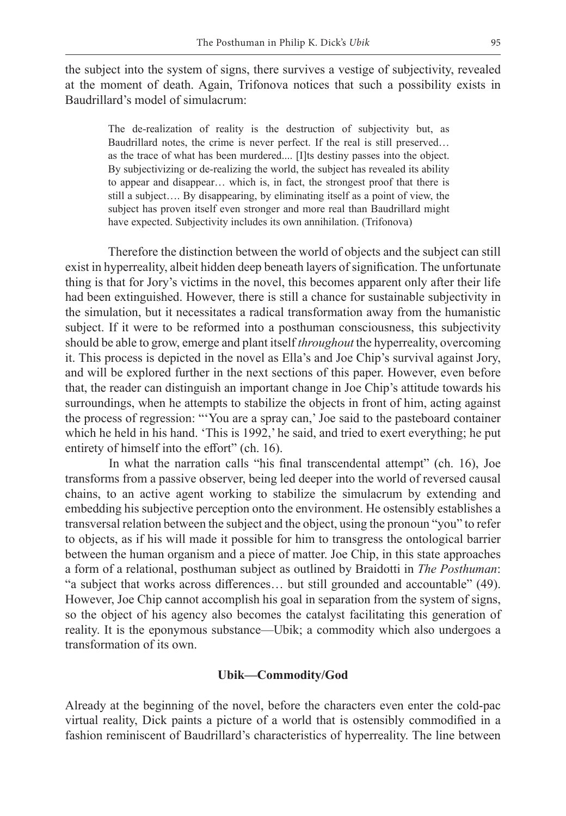the subject into the system of signs, there survives a vestige of subjectivity, revealed at the moment of death. Again, Trifonova notices that such a possibility exists in Baudrillard's model of simulacrum:

The de-realization of reality is the destruction of subjectivity but, as Baudrillard notes, the crime is never perfect. If the real is still preserved… as the trace of what has been murdered.... [I]ts destiny passes into the object. By subjectivizing or de-realizing the world, the subject has revealed its ability to appear and disappear… which is, in fact, the strongest proof that there is still a subject…. By disappearing, by eliminating itself as a point of view, the subject has proven itself even stronger and more real than Baudrillard might have expected. Subjectivity includes its own annihilation. (Trifonova)

Therefore the distinction between the world of objects and the subject can still exist in hyperreality, albeit hidden deep beneath layers of signification. The unfortunate thing is that for Jory's victims in the novel, this becomes apparent only after their life had been extinguished. However, there is still a chance for sustainable subjectivity in the simulation, but it necessitates a radical transformation away from the humanistic subject. If it were to be reformed into a posthuman consciousness, this subjectivity should be able to grow, emerge and plant itself *throughout* the hyperreality, overcoming it. This process is depicted in the novel as Ella's and Joe Chip's survival against Jory, and will be explored further in the next sections of this paper. However, even before that, the reader can distinguish an important change in Joe Chip's attitude towards his surroundings, when he attempts to stabilize the objects in front of him, acting against the process of regression: "'You are a spray can,' Joe said to the pasteboard container which he held in his hand. 'This is 1992,' he said, and tried to exert everything; he put entirety of himself into the effort" (ch. 16).

In what the narration calls "his final transcendental attempt" (ch. 16), Joe transforms from a passive observer, being led deeper into the world of reversed causal chains, to an active agent working to stabilize the simulacrum by extending and embedding his subjective perception onto the environment. He ostensibly establishes a transversal relation between the subject and the object, using the pronoun "you" to refer to objects, as if his will made it possible for him to transgress the ontological barrier between the human organism and a piece of matter. Joe Chip, in this state approaches a form of a relational, posthuman subject as outlined by Braidotti in *The Posthuman*: "a subject that works across differences… but still grounded and accountable" (49). However, Joe Chip cannot accomplish his goal in separation from the system of signs, so the object of his agency also becomes the catalyst facilitating this generation of reality. It is the eponymous substance—Ubik; a commodity which also undergoes a transformation of its own.

#### **Ubik—Commodity/God**

Already at the beginning of the novel, before the characters even enter the cold-pac virtual reality, Dick paints a picture of a world that is ostensibly commodified in a fashion reminiscent of Baudrillard's characteristics of hyperreality. The line between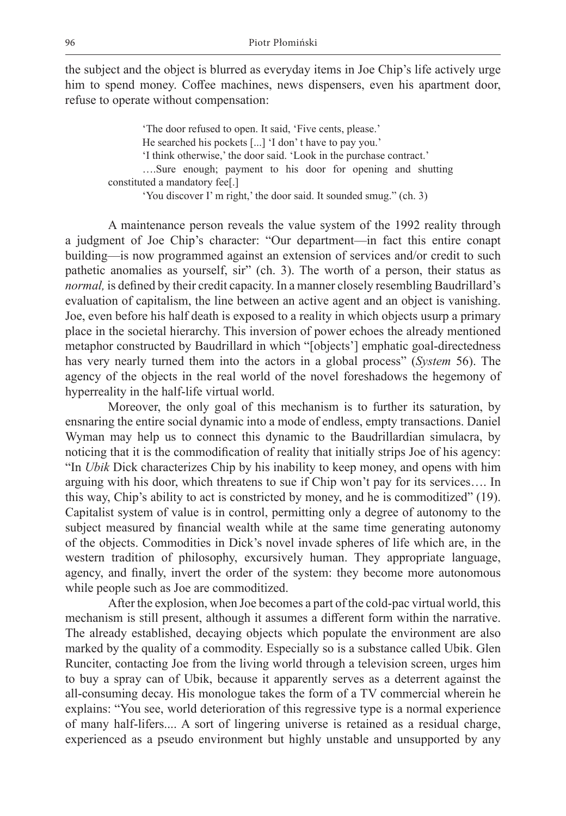the subject and the object is blurred as everyday items in Joe Chip's life actively urge him to spend money. Coffee machines, news dispensers, even his apartment door, refuse to operate without compensation:

'The door refused to open. It said, 'Five cents, please.' He searched his pockets [...] 'I don' t have to pay you.' 'I think otherwise,' the door said. 'Look in the purchase contract.' ….Sure enough; payment to his door for opening and shutting constituted a mandatory fee[.] 'You discover I' m right,' the door said. It sounded smug." (ch. 3)

A maintenance person reveals the value system of the 1992 reality through a judgment of Joe Chip's character: "Our department—in fact this entire conapt building—is now programmed against an extension of services and/or credit to such pathetic anomalies as yourself, sir" (ch. 3). The worth of a person, their status as *normal,* is defined by their credit capacity. In a manner closely resembling Baudrillard's evaluation of capitalism, the line between an active agent and an object is vanishing. Joe, even before his half death is exposed to a reality in which objects usurp a primary place in the societal hierarchy. This inversion of power echoes the already mentioned metaphor constructed by Baudrillard in which "[objects'] emphatic goal-directedness has very nearly turned them into the actors in a global process" (*System* 56). The agency of the objects in the real world of the novel foreshadows the hegemony of hyperreality in the half-life virtual world.

Moreover, the only goal of this mechanism is to further its saturation, by ensnaring the entire social dynamic into a mode of endless, empty transactions. Daniel Wyman may help us to connect this dynamic to the Baudrillardian simulacra, by noticing that it is the commodification of reality that initially strips Joe of his agency: "In *Ubik* Dick characterizes Chip by his inability to keep money, and opens with him arguing with his door, which threatens to sue if Chip won't pay for its services…. In this way, Chip's ability to act is constricted by money, and he is commoditized" (19). Capitalist system of value is in control, permitting only a degree of autonomy to the subject measured by financial wealth while at the same time generating autonomy of the objects. Commodities in Dick's novel invade spheres of life which are, in the western tradition of philosophy, excursively human. They appropriate language, agency, and finally, invert the order of the system: they become more autonomous while people such as Joe are commoditized.

After the explosion, when Joe becomes a part of the cold-pac virtual world, this mechanism is still present, although it assumes a different form within the narrative. The already established, decaying objects which populate the environment are also marked by the quality of a commodity. Especially so is a substance called Ubik. Glen Runciter, contacting Joe from the living world through a television screen, urges him to buy a spray can of Ubik, because it apparently serves as a deterrent against the all-consuming decay. His monologue takes the form of a TV commercial wherein he explains: "You see, world deterioration of this regressive type is a normal experience of many half-lifers.... A sort of lingering universe is retained as a residual charge, experienced as a pseudo environment but highly unstable and unsupported by any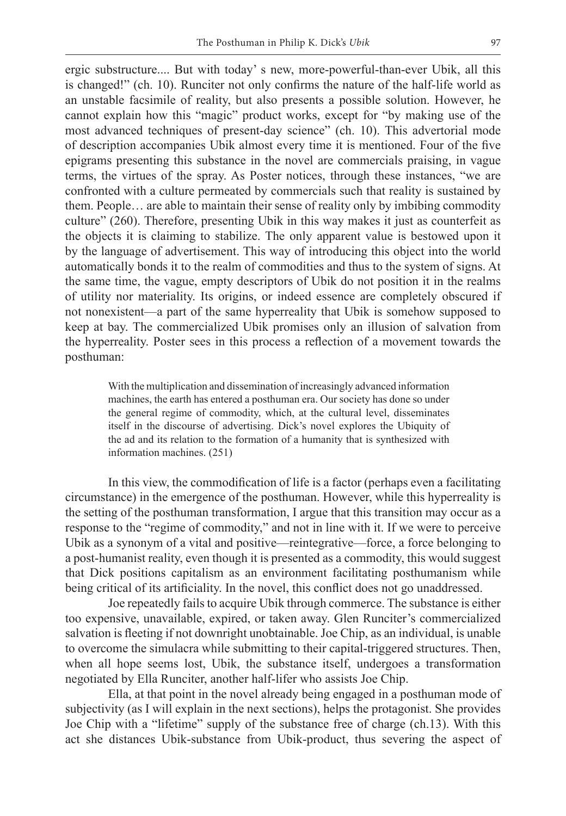ergic substructure.... But with today' s new, more-powerful-than-ever Ubik, all this is changed!" (ch. 10). Runciter not only confirms the nature of the half-life world as an unstable facsimile of reality, but also presents a possible solution. However, he cannot explain how this "magic" product works, except for "by making use of the most advanced techniques of present-day science" (ch. 10). This advertorial mode of description accompanies Ubik almost every time it is mentioned. Four of the five epigrams presenting this substance in the novel are commercials praising, in vague terms, the virtues of the spray. As Poster notices, through these instances, "we are confronted with a culture permeated by commercials such that reality is sustained by them. People… are able to maintain their sense of reality only by imbibing commodity culture" (260). Therefore, presenting Ubik in this way makes it just as counterfeit as the objects it is claiming to stabilize. The only apparent value is bestowed upon it by the language of advertisement. This way of introducing this object into the world automatically bonds it to the realm of commodities and thus to the system of signs. At the same time, the vague, empty descriptors of Ubik do not position it in the realms of utility nor materiality. Its origins, or indeed essence are completely obscured if not nonexistent—a part of the same hyperreality that Ubik is somehow supposed to keep at bay. The commercialized Ubik promises only an illusion of salvation from the hyperreality. Poster sees in this process a reflection of a movement towards the posthuman:

With the multiplication and dissemination of increasingly advanced information machines, the earth has entered a posthuman era. Our society has done so under the general regime of commodity, which, at the cultural level, disseminates itself in the discourse of advertising. Dick's novel explores the Ubiquity of the ad and its relation to the formation of a humanity that is synthesized with information machines. (251)

In this view, the commodification of life is a factor (perhaps even a facilitating circumstance) in the emergence of the posthuman. However, while this hyperreality is the setting of the posthuman transformation, I argue that this transition may occur as a response to the "regime of commodity," and not in line with it. If we were to perceive Ubik as a synonym of a vital and positive—reintegrative—force, a force belonging to a post-humanist reality, even though it is presented as a commodity, this would suggest that Dick positions capitalism as an environment facilitating posthumanism while being critical of its artificiality. In the novel, this conflict does not go unaddressed.

Joe repeatedly fails to acquire Ubik through commerce. The substance is either too expensive, unavailable, expired, or taken away. Glen Runciter's commercialized salvation is fleeting if not downright unobtainable. Joe Chip, as an individual, is unable to overcome the simulacra while submitting to their capital-triggered structures. Then, when all hope seems lost, Ubik, the substance itself, undergoes a transformation negotiated by Ella Runciter, another half-lifer who assists Joe Chip.

Ella, at that point in the novel already being engaged in a posthuman mode of subjectivity (as I will explain in the next sections), helps the protagonist. She provides Joe Chip with a "lifetime" supply of the substance free of charge (ch.13). With this act she distances Ubik-substance from Ubik-product, thus severing the aspect of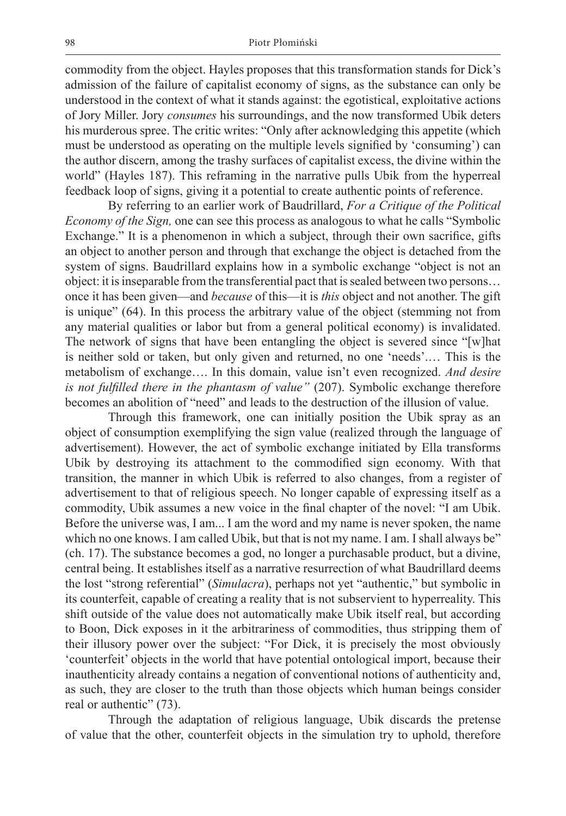commodity from the object. Hayles proposes that this transformation stands for Dick's admission of the failure of capitalist economy of signs, as the substance can only be understood in the context of what it stands against: the egotistical, exploitative actions of Jory Miller. Jory *consumes* his surroundings, and the now transformed Ubik deters his murderous spree. The critic writes: "Only after acknowledging this appetite (which must be understood as operating on the multiple levels signified by 'consuming') can the author discern, among the trashy surfaces of capitalist excess, the divine within the world" (Hayles 187). This reframing in the narrative pulls Ubik from the hyperreal feedback loop of signs, giving it a potential to create authentic points of reference.

By referring to an earlier work of Baudrillard, *For a Critique of the Political Economy of the Sign,* one can see this process as analogous to what he calls "Symbolic" Exchange." It is a phenomenon in which a subject, through their own sacrifice, gifts an object to another person and through that exchange the object is detached from the system of signs. Baudrillard explains how in a symbolic exchange "object is not an object: it is inseparable from the transferential pact that is sealed between two persons… once it has been given—and *because* of this—it is *this* object and not another. The gift is unique" (64). In this process the arbitrary value of the object (stemming not from any material qualities or labor but from a general political economy) is invalidated. The network of signs that have been entangling the object is severed since "[w]hat is neither sold or taken, but only given and returned, no one 'needs'.… This is the metabolism of exchange…. In this domain, value isn't even recognized. *And desire is not fulfilled there in the phantasm of value"* (207). Symbolic exchange therefore becomes an abolition of "need" and leads to the destruction of the illusion of value.

Through this framework, one can initially position the Ubik spray as an object of consumption exemplifying the sign value (realized through the language of advertisement). However, the act of symbolic exchange initiated by Ella transforms Ubik by destroying its attachment to the commodified sign economy. With that transition, the manner in which Ubik is referred to also changes, from a register of advertisement to that of religious speech. No longer capable of expressing itself as a commodity, Ubik assumes a new voice in the final chapter of the novel: "I am Ubik. Before the universe was, I am... I am the word and my name is never spoken, the name which no one knows. I am called Ubik, but that is not my name. I am. I shall always be" (ch. 17). The substance becomes a god, no longer a purchasable product, but a divine, central being. It establishes itself as a narrative resurrection of what Baudrillard deems the lost "strong referential" (*Simulacra*), perhaps not yet "authentic," but symbolic in its counterfeit, capable of creating a reality that is not subservient to hyperreality. This shift outside of the value does not automatically make Ubik itself real, but according to Boon, Dick exposes in it the arbitrariness of commodities, thus stripping them of their illusory power over the subject: "For Dick, it is precisely the most obviously 'counterfeit' objects in the world that have potential ontological import, because their inauthenticity already contains a negation of conventional notions of authenticity and, as such, they are closer to the truth than those objects which human beings consider real or authentic" (73).

Through the adaptation of religious language, Ubik discards the pretense of value that the other, counterfeit objects in the simulation try to uphold, therefore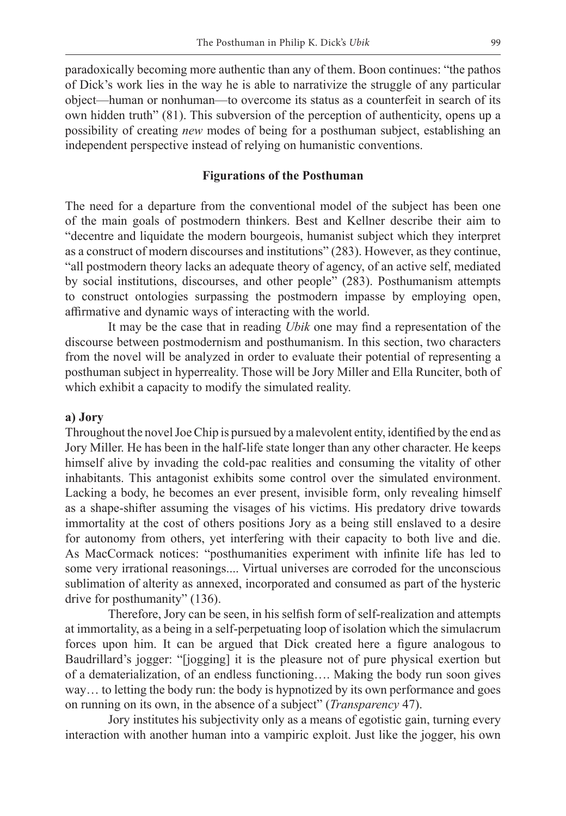paradoxically becoming more authentic than any of them. Boon continues: "the pathos of Dick's work lies in the way he is able to narrativize the struggle of any particular object—human or nonhuman—to overcome its status as a counterfeit in search of its own hidden truth" (81). This subversion of the perception of authenticity, opens up a possibility of creating *new* modes of being for a posthuman subject, establishing an independent perspective instead of relying on humanistic conventions.

## **Figurations of the Posthuman**

The need for a departure from the conventional model of the subject has been one of the main goals of postmodern thinkers. Best and Kellner describe their aim to "decentre and liquidate the modern bourgeois, humanist subject which they interpret as a construct of modern discourses and institutions" (283). However, as they continue, "all postmodern theory lacks an adequate theory of agency, of an active self, mediated by social institutions, discourses, and other people" (283). Posthumanism attempts to construct ontologies surpassing the postmodern impasse by employing open, affirmative and dynamic ways of interacting with the world.

It may be the case that in reading *Ubik* one may find a representation of the discourse between postmodernism and posthumanism. In this section, two characters from the novel will be analyzed in order to evaluate their potential of representing a posthuman subject in hyperreality. Those will be Jory Miller and Ella Runciter, both of which exhibit a capacity to modify the simulated reality.

#### **a) Jory**

Throughout the novel Joe Chip is pursued by a malevolent entity, identified by the end as Jory Miller. He has been in the half-life state longer than any other character. He keeps himself alive by invading the cold-pac realities and consuming the vitality of other inhabitants. This antagonist exhibits some control over the simulated environment. Lacking a body, he becomes an ever present, invisible form, only revealing himself as a shape-shifter assuming the visages of his victims. His predatory drive towards immortality at the cost of others positions Jory as a being still enslaved to a desire for autonomy from others, yet interfering with their capacity to both live and die. As MacCormack notices: "posthumanities experiment with infinite life has led to some very irrational reasonings.... Virtual universes are corroded for the unconscious sublimation of alterity as annexed, incorporated and consumed as part of the hysteric drive for posthumanity" (136).

Therefore, Jory can be seen, in his selfish form of self-realization and attempts at immortality, as a being in a self-perpetuating loop of isolation which the simulacrum forces upon him. It can be argued that Dick created here a figure analogous to Baudrillard's jogger: "[jogging] it is the pleasure not of pure physical exertion but of a dematerialization, of an endless functioning…. Making the body run soon gives way… to letting the body run: the body is hypnotized by its own performance and goes on running on its own, in the absence of a subject" (*Transparency* 47).

Jory institutes his subjectivity only as a means of egotistic gain, turning every interaction with another human into a vampiric exploit. Just like the jogger, his own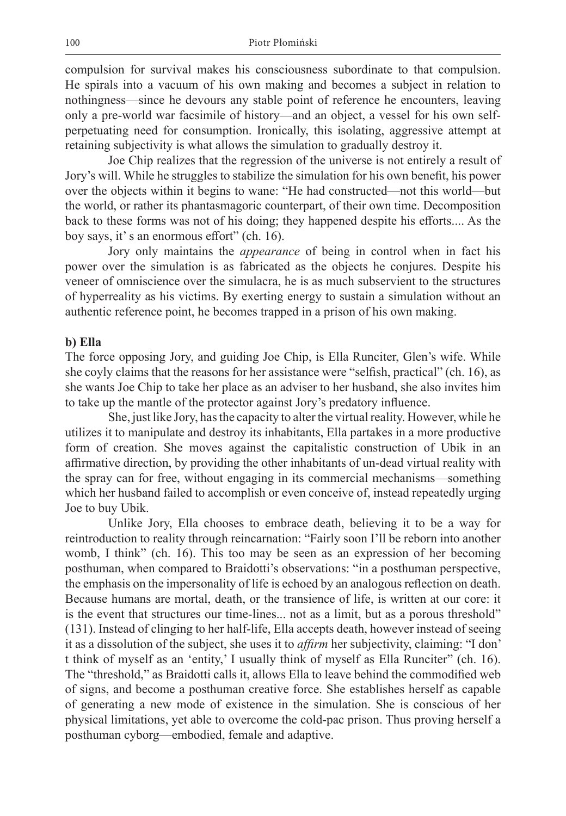compulsion for survival makes his consciousness subordinate to that compulsion. He spirals into a vacuum of his own making and becomes a subject in relation to nothingness—since he devours any stable point of reference he encounters, leaving only a pre-world war facsimile of history—and an object, a vessel for his own selfperpetuating need for consumption. Ironically, this isolating, aggressive attempt at retaining subjectivity is what allows the simulation to gradually destroy it.

Joe Chip realizes that the regression of the universe is not entirely a result of Jory's will. While he struggles to stabilize the simulation for his own benefit, his power over the objects within it begins to wane: "He had constructed—not this world—but the world, or rather its phantasmagoric counterpart, of their own time. Decomposition back to these forms was not of his doing; they happened despite his efforts.... As the boy says, it' s an enormous effort" (ch. 16).

Jory only maintains the *appearance* of being in control when in fact his power over the simulation is as fabricated as the objects he conjures. Despite his veneer of omniscience over the simulacra, he is as much subservient to the structures of hyperreality as his victims. By exerting energy to sustain a simulation without an authentic reference point, he becomes trapped in a prison of his own making.

## **b) Ella**

The force opposing Jory, and guiding Joe Chip, is Ella Runciter, Glen's wife. While she coyly claims that the reasons for her assistance were "selfish, practical" (ch. 16), as she wants Joe Chip to take her place as an adviser to her husband, she also invites him to take up the mantle of the protector against Jory's predatory influence.

She, just like Jory, has the capacity to alter the virtual reality. However, while he utilizes it to manipulate and destroy its inhabitants, Ella partakes in a more productive form of creation. She moves against the capitalistic construction of Ubik in an affirmative direction, by providing the other inhabitants of un-dead virtual reality with the spray can for free, without engaging in its commercial mechanisms—something which her husband failed to accomplish or even conceive of, instead repeatedly urging Joe to buy Ubik.

Unlike Jory, Ella chooses to embrace death, believing it to be a way for reintroduction to reality through reincarnation: "Fairly soon I'll be reborn into another womb, I think" (ch. 16). This too may be seen as an expression of her becoming posthuman, when compared to Braidotti's observations: "in a posthuman perspective, the emphasis on the impersonality of life is echoed by an analogous reflection on death. Because humans are mortal, death, or the transience of life, is written at our core: it is the event that structures our time-lines... not as a limit, but as a porous threshold" (131). Instead of clinging to her half-life, Ella accepts death, however instead of seeing it as a dissolution of the subject, she uses it to *affirm* her subjectivity, claiming: "I don' t think of myself as an 'entity,' I usually think of myself as Ella Runciter" (ch. 16). The "threshold," as Braidotti calls it, allows Ella to leave behind the commodified web of signs, and become a posthuman creative force. She establishes herself as capable of generating a new mode of existence in the simulation. She is conscious of her physical limitations, yet able to overcome the cold-pac prison. Thus proving herself a posthuman cyborg—embodied, female and adaptive.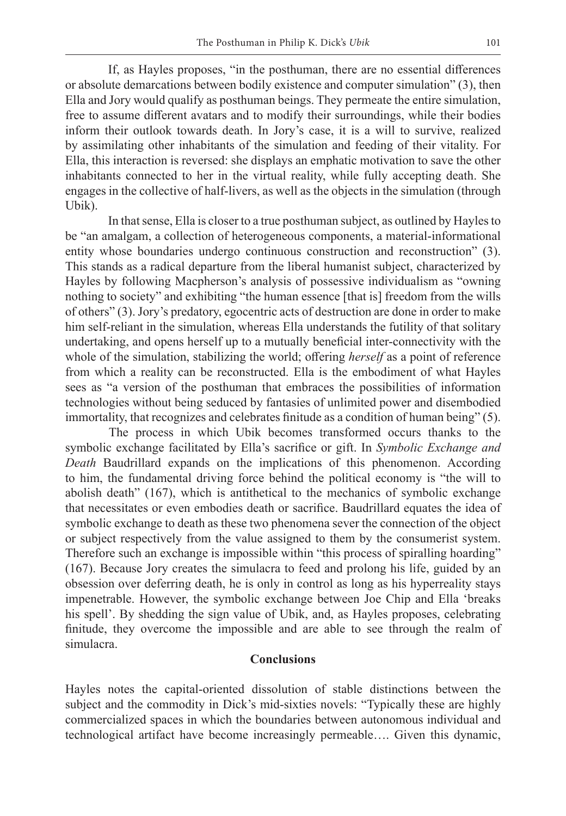If, as Hayles proposes, "in the posthuman, there are no essential differences or absolute demarcations between bodily existence and computer simulation" (3), then Ella and Jory would qualify as posthuman beings. They permeate the entire simulation, free to assume different avatars and to modify their surroundings, while their bodies inform their outlook towards death. In Jory's case, it is a will to survive, realized by assimilating other inhabitants of the simulation and feeding of their vitality. For Ella, this interaction is reversed: she displays an emphatic motivation to save the other inhabitants connected to her in the virtual reality, while fully accepting death. She engages in the collective of half-livers, as well as the objects in the simulation (through Ubik).

In that sense, Ella is closer to a true posthuman subject, as outlined by Hayles to be "an amalgam, a collection of heterogeneous components, a material-informational entity whose boundaries undergo continuous construction and reconstruction" (3). This stands as a radical departure from the liberal humanist subject, characterized by Hayles by following Macpherson's analysis of possessive individualism as "owning nothing to society" and exhibiting "the human essence [that is] freedom from the wills of others" (3). Jory's predatory, egocentric acts of destruction are done in order to make him self-reliant in the simulation, whereas Ella understands the futility of that solitary undertaking, and opens herself up to a mutually beneficial inter-connectivity with the whole of the simulation, stabilizing the world; offering *herself* as a point of reference from which a reality can be reconstructed. Ella is the embodiment of what Hayles sees as "a version of the posthuman that embraces the possibilities of information technologies without being seduced by fantasies of unlimited power and disembodied immortality, that recognizes and celebrates finitude as a condition of human being" (5).

The process in which Ubik becomes transformed occurs thanks to the symbolic exchange facilitated by Ella's sacrifice or gift. In *Symbolic Exchange and Death* Baudrillard expands on the implications of this phenomenon. According to him, the fundamental driving force behind the political economy is "the will to abolish death" (167), which is antithetical to the mechanics of symbolic exchange that necessitates or even embodies death or sacrifice. Baudrillard equates the idea of symbolic exchange to death as these two phenomena sever the connection of the object or subject respectively from the value assigned to them by the consumerist system. Therefore such an exchange is impossible within "this process of spiralling hoarding" (167). Because Jory creates the simulacra to feed and prolong his life, guided by an obsession over deferring death, he is only in control as long as his hyperreality stays impenetrable. However, the symbolic exchange between Joe Chip and Ella 'breaks his spell'. By shedding the sign value of Ubik, and, as Hayles proposes, celebrating finitude, they overcome the impossible and are able to see through the realm of simulacra.

# **Conclusions**

Hayles notes the capital-oriented dissolution of stable distinctions between the subject and the commodity in Dick's mid-sixties novels: "Typically these are highly commercialized spaces in which the boundaries between autonomous individual and technological artifact have become increasingly permeable…. Given this dynamic,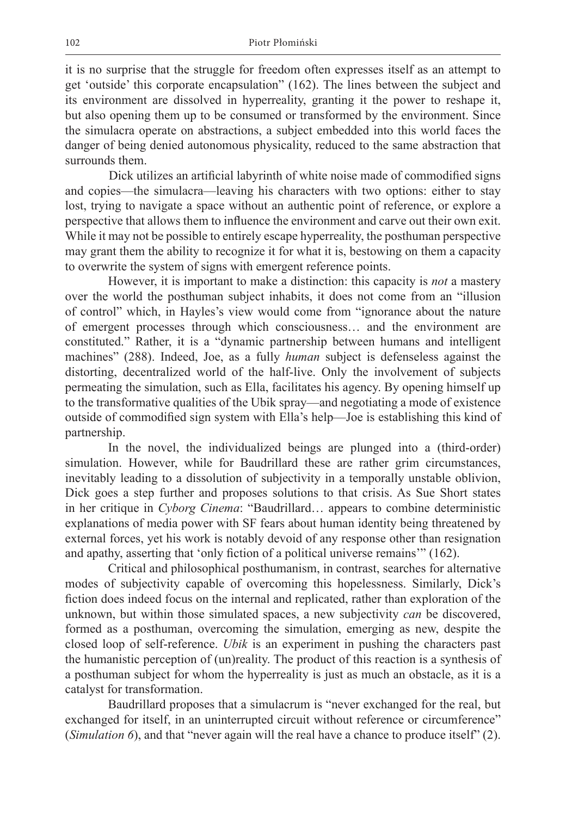it is no surprise that the struggle for freedom often expresses itself as an attempt to get 'outside' this corporate encapsulation" (162). The lines between the subject and its environment are dissolved in hyperreality, granting it the power to reshape it, but also opening them up to be consumed or transformed by the environment. Since the simulacra operate on abstractions, a subject embedded into this world faces the danger of being denied autonomous physicality, reduced to the same abstraction that surrounds them.

Dick utilizes an artificial labyrinth of white noise made of commodified signs and copies—the simulacra—leaving his characters with two options: either to stay lost, trying to navigate a space without an authentic point of reference, or explore a perspective that allows them to influence the environment and carve out their own exit. While it may not be possible to entirely escape hyperreality, the posthuman perspective may grant them the ability to recognize it for what it is, bestowing on them a capacity to overwrite the system of signs with emergent reference points.

However, it is important to make a distinction: this capacity is *not* a mastery over the world the posthuman subject inhabits, it does not come from an "illusion of control" which, in Hayles's view would come from "ignorance about the nature of emergent processes through which consciousness… and the environment are constituted." Rather, it is a "dynamic partnership between humans and intelligent machines" (288). Indeed, Joe, as a fully *human* subject is defenseless against the distorting, decentralized world of the half-live. Only the involvement of subjects permeating the simulation, such as Ella, facilitates his agency. By opening himself up to the transformative qualities of the Ubik spray—and negotiating a mode of existence outside of commodified sign system with Ella's help—Joe is establishing this kind of partnership.

In the novel, the individualized beings are plunged into a (third-order) simulation. However, while for Baudrillard these are rather grim circumstances, inevitably leading to a dissolution of subjectivity in a temporally unstable oblivion, Dick goes a step further and proposes solutions to that crisis. As Sue Short states in her critique in *Cyborg Cinema*: "Baudrillard… appears to combine deterministic explanations of media power with SF fears about human identity being threatened by external forces, yet his work is notably devoid of any response other than resignation and apathy, asserting that 'only fiction of a political universe remains'" (162).

Critical and philosophical posthumanism, in contrast, searches for alternative modes of subjectivity capable of overcoming this hopelessness. Similarly, Dick's fiction does indeed focus on the internal and replicated, rather than exploration of the unknown, but within those simulated spaces, a new subjectivity *can* be discovered, formed as a posthuman, overcoming the simulation, emerging as new, despite the closed loop of self-reference. *Ubik* is an experiment in pushing the characters past the humanistic perception of (un)reality. The product of this reaction is a synthesis of a posthuman subject for whom the hyperreality is just as much an obstacle, as it is a catalyst for transformation.

Baudrillard proposes that a simulacrum is "never exchanged for the real, but exchanged for itself, in an uninterrupted circuit without reference or circumference" (*Simulation 6*), and that "never again will the real have a chance to produce itself" (2).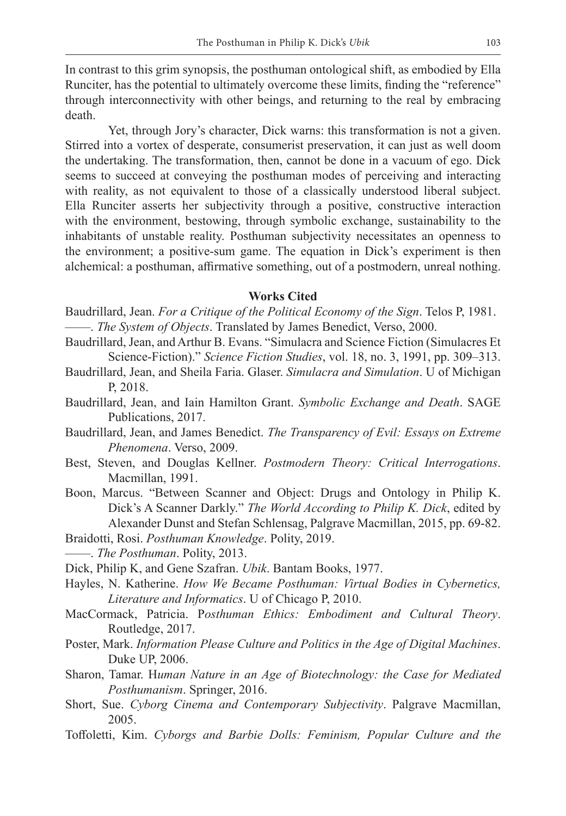In contrast to this grim synopsis, the posthuman ontological shift, as embodied by Ella Runciter, has the potential to ultimately overcome these limits, finding the "reference" through interconnectivity with other beings, and returning to the real by embracing death.

Yet, through Jory's character, Dick warns: this transformation is not a given. Stirred into a vortex of desperate, consumerist preservation, it can just as well doom the undertaking. The transformation, then, cannot be done in a vacuum of ego. Dick seems to succeed at conveying the posthuman modes of perceiving and interacting with reality, as not equivalent to those of a classically understood liberal subject. Ella Runciter asserts her subjectivity through a positive, constructive interaction with the environment, bestowing, through symbolic exchange, sustainability to the inhabitants of unstable reality. Posthuman subjectivity necessitates an openness to the environment; a positive-sum game. The equation in Dick's experiment is then alchemical: a posthuman, affirmative something, out of a postmodern, unreal nothing.

#### **Works Cited**

- Baudrillard, Jean. *For a Critique of the Political Economy of the Sign*. Telos P, 1981. ——. *The System of Objects*. Translated by James Benedict, Verso, 2000.
- Baudrillard, Jean, and Arthur B. Evans. "Simulacra and Science Fiction (Simulacres Et Science-Fiction)." *Science Fiction Studies*, vol. 18, no. 3, 1991, pp. 309–313.
- Baudrillard, Jean, and Sheila Faria. Glaser. *Simulacra and Simulation*. U of Michigan P, 2018.
- Baudrillard, Jean, and Iain Hamilton Grant. *Symbolic Exchange and Death*. SAGE Publications, 2017.
- Baudrillard, Jean, and James Benedict. *The Transparency of Evil: Essays on Extreme Phenomena*. Verso, 2009.
- Best, Steven, and Douglas Kellner. *Postmodern Theory: Critical Interrogations*. Macmillan, 1991.
- Boon, Marcus. "Between Scanner and Object: Drugs and Ontology in Philip K. Dick's A Scanner Darkly." *The World According to Philip K. Dick*, edited by Alexander Dunst and Stefan Schlensag, Palgrave Macmillan, 2015, pp. 69-82.
- Braidotti, Rosi. *Posthuman Knowledge*. Polity, 2019.
- ——. *The Posthuman*. Polity, 2013.
- Dick, Philip K, and Gene Szafran. *Ubik*. Bantam Books, 1977.
- Hayles, N. Katherine. *How We Became Posthuman: Virtual Bodies in Cybernetics, Literature and Informatics*. U of Chicago P, 2010.
- MacCormack, Patricia. P*osthuman Ethics: Embodiment and Cultural Theory*. Routledge, 2017.
- Poster, Mark. *Information Please Culture and Politics in the Age of Digital Machines*. Duke UP, 2006.
- Sharon, Tamar. H*uman Nature in an Age of Biotechnology: the Case for Mediated Posthumanism*. Springer, 2016.
- Short, Sue. *Cyborg Cinema and Contemporary Subjectivity*. Palgrave Macmillan, 2005.
- Toffoletti, Kim. *Cyborgs and Barbie Dolls: Feminism, Popular Culture and the*